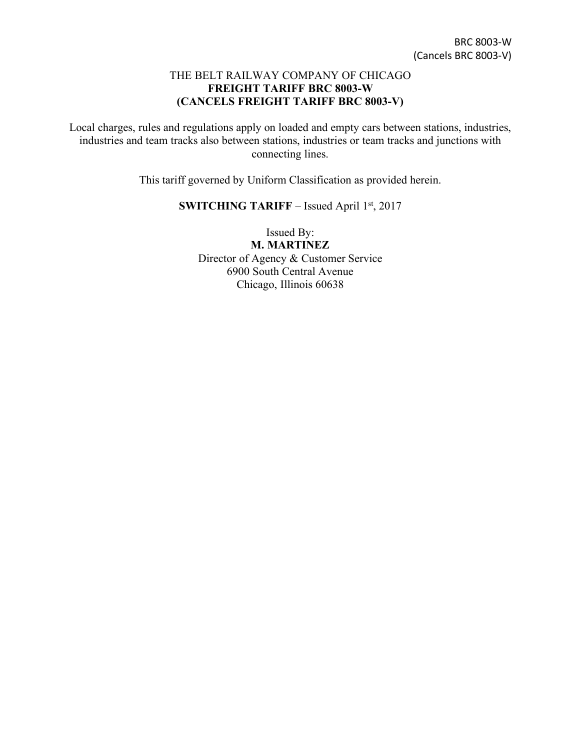## THE BELT RAILWAY COMPANY OF CHICAGO **FREIGHT TARIFF BRC 8003-W (CANCELS FREIGHT TARIFF BRC 8003-V)**

Local charges, rules and regulations apply on loaded and empty cars between stations, industries, industries and team tracks also between stations, industries or team tracks and junctions with connecting lines.

This tariff governed by Uniform Classification as provided herein.

## **SWITCHING TARIFF** – Issued April 1st, 2017

Issued By: **M. MARTINEZ** Director of Agency & Customer Service 6900 South Central Avenue Chicago, Illinois 60638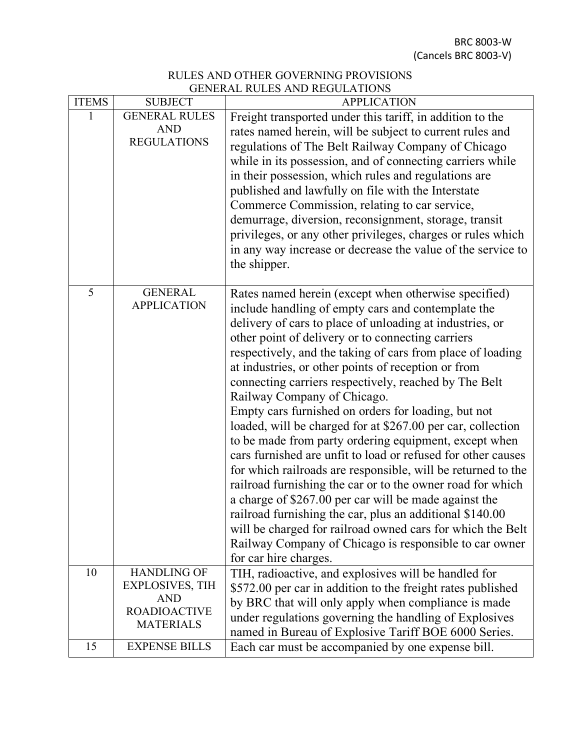BRC 8003-W (Cancels BRC 8003-V)

## RULES AND OTHER GOVERNING PROVISIONS GENERAL RULES AND REGULATIONS

| <b>ITEMS</b> | <b>SUBJECT</b>                                                                                        | <b>APPLICATION</b>                                                                                                                                                                                                                                                                                                                                                                                                                                                                                                                                                                                                                                                                                                                                                                                                                                                                                                                                                                                                                                                                          |  |  |
|--------------|-------------------------------------------------------------------------------------------------------|---------------------------------------------------------------------------------------------------------------------------------------------------------------------------------------------------------------------------------------------------------------------------------------------------------------------------------------------------------------------------------------------------------------------------------------------------------------------------------------------------------------------------------------------------------------------------------------------------------------------------------------------------------------------------------------------------------------------------------------------------------------------------------------------------------------------------------------------------------------------------------------------------------------------------------------------------------------------------------------------------------------------------------------------------------------------------------------------|--|--|
|              | <b>GENERAL RULES</b><br><b>AND</b><br><b>REGULATIONS</b>                                              | Freight transported under this tariff, in addition to the<br>rates named herein, will be subject to current rules and<br>regulations of The Belt Railway Company of Chicago<br>while in its possession, and of connecting carriers while<br>in their possession, which rules and regulations are<br>published and lawfully on file with the Interstate<br>Commerce Commission, relating to car service,<br>demurrage, diversion, reconsignment, storage, transit<br>privileges, or any other privileges, charges or rules which<br>in any way increase or decrease the value of the service to<br>the shipper.                                                                                                                                                                                                                                                                                                                                                                                                                                                                              |  |  |
| 5            | <b>GENERAL</b><br><b>APPLICATION</b>                                                                  | Rates named herein (except when otherwise specified)<br>include handling of empty cars and contemplate the<br>delivery of cars to place of unloading at industries, or<br>other point of delivery or to connecting carriers<br>respectively, and the taking of cars from place of loading<br>at industries, or other points of reception or from<br>connecting carriers respectively, reached by The Belt<br>Railway Company of Chicago.<br>Empty cars furnished on orders for loading, but not<br>loaded, will be charged for at \$267.00 per car, collection<br>to be made from party ordering equipment, except when<br>cars furnished are unfit to load or refused for other causes<br>for which railroads are responsible, will be returned to the<br>railroad furnishing the car or to the owner road for which<br>a charge of \$267.00 per car will be made against the<br>railroad furnishing the car, plus an additional \$140.00<br>will be charged for railroad owned cars for which the Belt<br>Railway Company of Chicago is responsible to car owner<br>for car hire charges. |  |  |
| 10           | <b>HANDLING OF</b><br><b>EXPLOSIVES, TIH</b><br><b>AND</b><br><b>ROADIOACTIVE</b><br><b>MATERIALS</b> | TIH, radioactive, and explosives will be handled for<br>\$572.00 per car in addition to the freight rates published<br>by BRC that will only apply when compliance is made<br>under regulations governing the handling of Explosives<br>named in Bureau of Explosive Tariff BOE 6000 Series.                                                                                                                                                                                                                                                                                                                                                                                                                                                                                                                                                                                                                                                                                                                                                                                                |  |  |
| 15           | <b>EXPENSE BILLS</b>                                                                                  | Each car must be accompanied by one expense bill.                                                                                                                                                                                                                                                                                                                                                                                                                                                                                                                                                                                                                                                                                                                                                                                                                                                                                                                                                                                                                                           |  |  |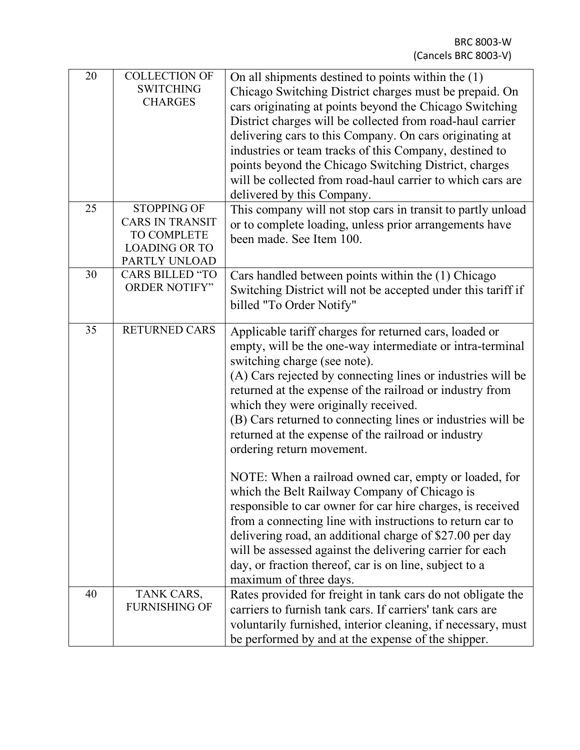| 20 | <b>COLLECTION OF</b><br><b>SWITCHING</b><br><b>CHARGES</b>                                           | On all shipments destined to points within the (1)<br>Chicago Switching District charges must be prepaid. On<br>cars originating at points beyond the Chicago Switching<br>District charges will be collected from road-haul carrier<br>delivering cars to this Company. On cars originating at<br>industries or team tracks of this Company, destined to<br>points beyond the Chicago Switching District, charges<br>will be collected from road-haul carrier to which cars are<br>delivered by this Company.                                                                     |  |  |
|----|------------------------------------------------------------------------------------------------------|------------------------------------------------------------------------------------------------------------------------------------------------------------------------------------------------------------------------------------------------------------------------------------------------------------------------------------------------------------------------------------------------------------------------------------------------------------------------------------------------------------------------------------------------------------------------------------|--|--|
| 25 | <b>STOPPING OF</b><br><b>CARS IN TRANSIT</b><br>TO COMPLETE<br><b>LOADING OR TO</b><br>PARTLY UNLOAD | This company will not stop cars in transit to partly unload<br>or to complete loading, unless prior arrangements have<br>been made. See Item 100.                                                                                                                                                                                                                                                                                                                                                                                                                                  |  |  |
| 30 | <b>CARS BILLED "TO</b><br><b>ORDER NOTIFY"</b>                                                       | Cars handled between points within the (1) Chicago<br>Switching District will not be accepted under this tariff if<br>billed "To Order Notify"                                                                                                                                                                                                                                                                                                                                                                                                                                     |  |  |
| 35 | <b>RETURNED CARS</b>                                                                                 | Applicable tariff charges for returned cars, loaded or<br>empty, will be the one-way intermediate or intra-terminal<br>switching charge (see note).<br>(A) Cars rejected by connecting lines or industries will be<br>returned at the expense of the railroad or industry from<br>which they were originally received.<br>(B) Cars returned to connecting lines or industries will be<br>returned at the expense of the railroad or industry<br>ordering return movement.<br>NOTE: When a railroad owned car, empty or loaded, for<br>which the Belt Railway Company of Chicago is |  |  |
|    |                                                                                                      | responsible to car owner for car hire charges, is received<br>from a connecting line with instructions to return car to<br>delivering road, an additional charge of \$27.00 per day<br>will be assessed against the delivering carrier for each<br>day, or fraction thereof, car is on line, subject to a<br>maximum of three days.                                                                                                                                                                                                                                                |  |  |
| 40 | TANK CARS,<br><b>FURNISHING OF</b>                                                                   | Rates provided for freight in tank cars do not obligate the<br>carriers to furnish tank cars. If carriers' tank cars are<br>voluntarily furnished, interior cleaning, if necessary, must<br>be performed by and at the expense of the shipper.                                                                                                                                                                                                                                                                                                                                     |  |  |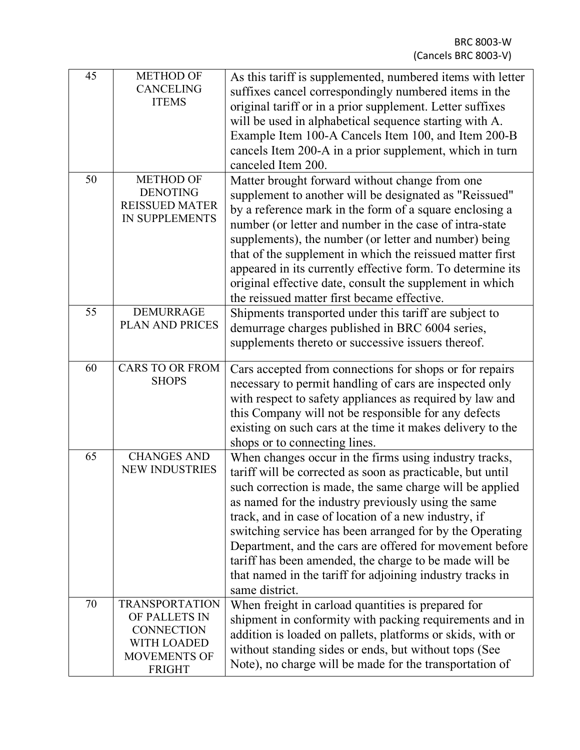| 45 | <b>METHOD OF</b><br><b>CANCELING</b><br><b>ITEMS</b>                                                        | As this tariff is supplemented, numbered items with letter<br>suffixes cancel correspondingly numbered items in the<br>original tariff or in a prior supplement. Letter suffixes<br>will be used in alphabetical sequence starting with A.<br>Example Item 100-A Cancels Item 100, and Item 200-B<br>cancels Item 200-A in a prior supplement, which in turn<br>canceled Item 200.                                                                                                                                                                               |
|----|-------------------------------------------------------------------------------------------------------------|------------------------------------------------------------------------------------------------------------------------------------------------------------------------------------------------------------------------------------------------------------------------------------------------------------------------------------------------------------------------------------------------------------------------------------------------------------------------------------------------------------------------------------------------------------------|
| 50 | <b>METHOD OF</b><br><b>DENOTING</b><br><b>REISSUED MATER</b><br><b>IN SUPPLEMENTS</b>                       | Matter brought forward without change from one<br>supplement to another will be designated as "Reissued"<br>by a reference mark in the form of a square enclosing a<br>number (or letter and number in the case of intra-state<br>supplements), the number (or letter and number) being<br>that of the supplement in which the reissued matter first<br>appeared in its currently effective form. To determine its<br>original effective date, consult the supplement in which<br>the reissued matter first became effective.                                    |
| 55 | <b>DEMURRAGE</b><br><b>PLAN AND PRICES</b>                                                                  | Shipments transported under this tariff are subject to<br>demurrage charges published in BRC 6004 series,<br>supplements thereto or successive issuers thereof.                                                                                                                                                                                                                                                                                                                                                                                                  |
| 60 | <b>CARS TO OR FROM</b><br><b>SHOPS</b>                                                                      | Cars accepted from connections for shops or for repairs<br>necessary to permit handling of cars are inspected only<br>with respect to safety appliances as required by law and<br>this Company will not be responsible for any defects<br>existing on such cars at the time it makes delivery to the<br>shops or to connecting lines.                                                                                                                                                                                                                            |
| 65 | <b>CHANGES AND</b><br><b>NEW INDUSTRIES</b>                                                                 | When changes occur in the firms using industry tracks,<br>tariff will be corrected as soon as practicable, but until<br>such correction is made, the same charge will be applied<br>as named for the industry previously using the same<br>track, and in case of location of a new industry, if<br>switching service has been arranged for by the Operating<br>Department, and the cars are offered for movement before<br>tariff has been amended, the charge to be made will be<br>that named in the tariff for adjoining industry tracks in<br>same district. |
| 70 | <b>TRANSPORTATION</b><br>OF PALLETS IN<br><b>CONNECTION</b><br>WITH LOADED<br>MOVEMENTS OF<br><b>FRIGHT</b> | When freight in carload quantities is prepared for<br>shipment in conformity with packing requirements and in<br>addition is loaded on pallets, platforms or skids, with or<br>without standing sides or ends, but without tops (See<br>Note), no charge will be made for the transportation of                                                                                                                                                                                                                                                                  |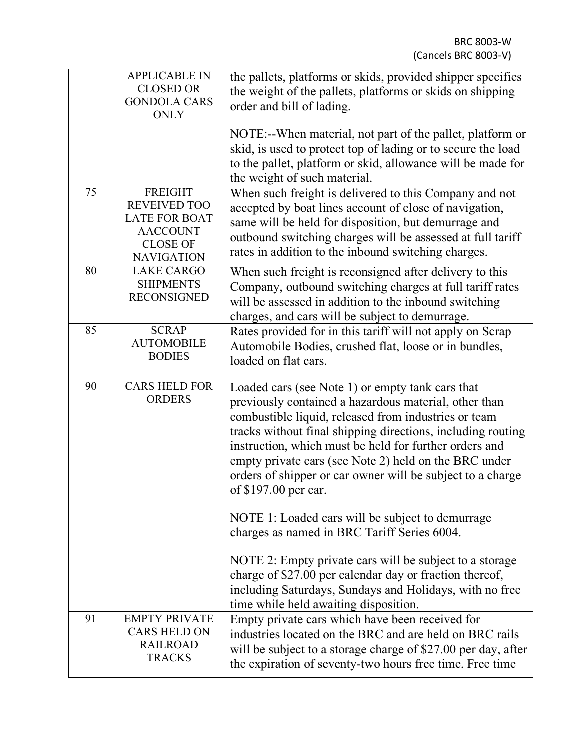|    | <b>APPLICABLE IN</b><br><b>CLOSED OR</b><br><b>GONDOLA CARS</b><br><b>ONLY</b>                                           | the pallets, platforms or skids, provided shipper specifies<br>the weight of the pallets, platforms or skids on shipping<br>order and bill of lading.<br>NOTE:--When material, not part of the pallet, platform or<br>skid, is used to protect top of lading or to secure the load<br>to the pallet, platform or skid, allowance will be made for                                                                                                                                             |  |  |  |
|----|--------------------------------------------------------------------------------------------------------------------------|-----------------------------------------------------------------------------------------------------------------------------------------------------------------------------------------------------------------------------------------------------------------------------------------------------------------------------------------------------------------------------------------------------------------------------------------------------------------------------------------------|--|--|--|
|    |                                                                                                                          | the weight of such material.                                                                                                                                                                                                                                                                                                                                                                                                                                                                  |  |  |  |
| 75 | <b>FREIGHT</b><br><b>REVEIVED TOO</b><br><b>LATE FOR BOAT</b><br><b>AACCOUNT</b><br><b>CLOSE OF</b><br><b>NAVIGATION</b> | When such freight is delivered to this Company and not<br>accepted by boat lines account of close of navigation,<br>same will be held for disposition, but demurrage and<br>outbound switching charges will be assessed at full tariff<br>rates in addition to the inbound switching charges.                                                                                                                                                                                                 |  |  |  |
| 80 | <b>LAKE CARGO</b><br><b>SHIPMENTS</b><br><b>RECONSIGNED</b>                                                              | When such freight is reconsigned after delivery to this<br>Company, outbound switching charges at full tariff rates<br>will be assessed in addition to the inbound switching<br>charges, and cars will be subject to demurrage.                                                                                                                                                                                                                                                               |  |  |  |
| 85 | <b>SCRAP</b><br><b>AUTOMOBILE</b><br><b>BODIES</b>                                                                       | Rates provided for in this tariff will not apply on Scrap<br>Automobile Bodies, crushed flat, loose or in bundles,<br>loaded on flat cars.                                                                                                                                                                                                                                                                                                                                                    |  |  |  |
| 90 | <b>CARS HELD FOR</b><br><b>ORDERS</b>                                                                                    | Loaded cars (see Note 1) or empty tank cars that<br>previously contained a hazardous material, other than<br>combustible liquid, released from industries or team<br>tracks without final shipping directions, including routing<br>instruction, which must be held for further orders and<br>empty private cars (see Note 2) held on the BRC under<br>orders of shipper or car owner will be subject to a charge<br>of \$197.00 per car.<br>NOTE 1: Loaded cars will be subject to demurrage |  |  |  |
|    |                                                                                                                          | charges as named in BRC Tariff Series 6004.                                                                                                                                                                                                                                                                                                                                                                                                                                                   |  |  |  |
|    |                                                                                                                          | NOTE 2: Empty private cars will be subject to a storage<br>charge of \$27.00 per calendar day or fraction thereof,<br>including Saturdays, Sundays and Holidays, with no free<br>time while held awaiting disposition.                                                                                                                                                                                                                                                                        |  |  |  |
| 91 | <b>EMPTY PRIVATE</b><br><b>CARS HELD ON</b><br><b>RAILROAD</b><br><b>TRACKS</b>                                          | Empty private cars which have been received for<br>industries located on the BRC and are held on BRC rails<br>will be subject to a storage charge of \$27.00 per day, after<br>the expiration of seventy-two hours free time. Free time                                                                                                                                                                                                                                                       |  |  |  |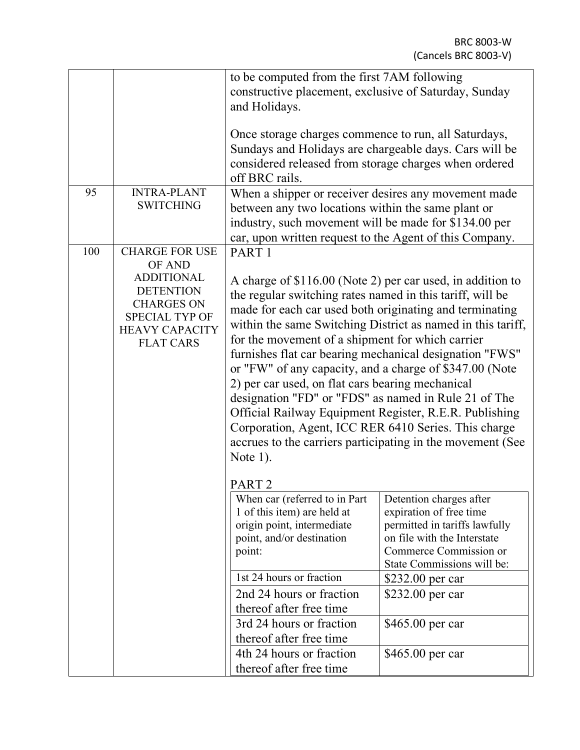|     |                                                | to be computed from the first 7AM following                 |                               |  |  |
|-----|------------------------------------------------|-------------------------------------------------------------|-------------------------------|--|--|
|     |                                                | constructive placement, exclusive of Saturday, Sunday       |                               |  |  |
|     |                                                | and Holidays.                                               |                               |  |  |
|     |                                                |                                                             |                               |  |  |
|     |                                                | Once storage charges commence to run, all Saturdays,        |                               |  |  |
|     |                                                | Sundays and Holidays are chargeable days. Cars will be      |                               |  |  |
|     |                                                | considered released from storage charges when ordered       |                               |  |  |
|     |                                                | off BRC rails.                                              |                               |  |  |
| 95  | <b>INTRA-PLANT</b>                             | When a shipper or receiver desires any movement made        |                               |  |  |
|     | <b>SWITCHING</b>                               | between any two locations within the same plant or          |                               |  |  |
|     |                                                | industry, such movement will be made for \$134.00 per       |                               |  |  |
|     |                                                | car, upon written request to the Agent of this Company.     |                               |  |  |
| 100 | <b>CHARGE FOR USE</b>                          | PART <sub>1</sub>                                           |                               |  |  |
|     | OF AND                                         |                                                             |                               |  |  |
|     | <b>ADDITIONAL</b>                              | A charge of \$116.00 (Note 2) per car used, in addition to  |                               |  |  |
|     | <b>DETENTION</b>                               | the regular switching rates named in this tariff, will be   |                               |  |  |
|     | <b>CHARGES ON</b>                              | made for each car used both originating and terminating     |                               |  |  |
|     | <b>SPECIAL TYP OF</b><br><b>HEAVY CAPACITY</b> | within the same Switching District as named in this tariff, |                               |  |  |
|     | <b>FLAT CARS</b>                               | for the movement of a shipment for which carrier            |                               |  |  |
|     |                                                | furnishes flat car bearing mechanical designation "FWS"     |                               |  |  |
|     |                                                | or "FW" of any capacity, and a charge of \$347.00 (Note     |                               |  |  |
|     |                                                | 2) per car used, on flat cars bearing mechanical            |                               |  |  |
|     |                                                | designation "FD" or "FDS" as named in Rule 21 of The        |                               |  |  |
|     |                                                | Official Railway Equipment Register, R.E.R. Publishing      |                               |  |  |
|     |                                                | Corporation, Agent, ICC RER 6410 Series. This charge        |                               |  |  |
|     |                                                |                                                             |                               |  |  |
|     |                                                | accrues to the carriers participating in the movement (See  |                               |  |  |
|     |                                                | Note $1$ ).                                                 |                               |  |  |
|     |                                                | PART <sub>2</sub>                                           |                               |  |  |
|     |                                                | When car (referred to in Part                               | Detention charges after       |  |  |
|     |                                                | 1 of this item) are held at                                 | expiration of free time       |  |  |
|     |                                                | origin point, intermediate                                  | permitted in tariffs lawfully |  |  |
|     |                                                | point, and/or destination                                   | on file with the Interstate   |  |  |
|     |                                                | point:                                                      | Commerce Commission or        |  |  |
|     |                                                |                                                             | State Commissions will be:    |  |  |
|     |                                                | 1st 24 hours or fraction                                    | \$232.00 per car              |  |  |
|     |                                                | 2nd 24 hours or fraction                                    | \$232.00 per car              |  |  |
|     |                                                | thereof after free time                                     |                               |  |  |
|     |                                                | 3rd 24 hours or fraction                                    | \$465.00 per car              |  |  |
|     |                                                | thereof after free time                                     |                               |  |  |
|     |                                                | 4th 24 hours or fraction                                    | \$465.00 per car              |  |  |
|     |                                                | thereof after free time                                     |                               |  |  |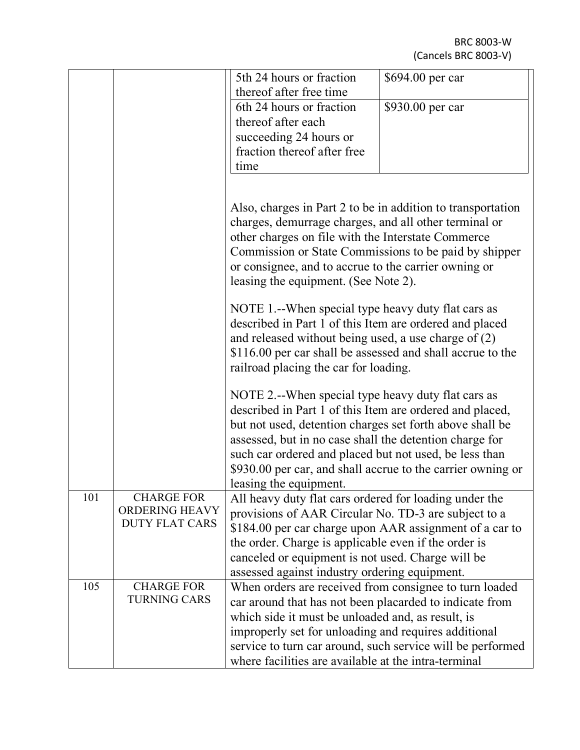|     |                                                | 5th 24 hours or fraction<br>thereof after free time                                                                                                                                                                                                                                                                                                                                      | \$694.00 per car |  |  |  |
|-----|------------------------------------------------|------------------------------------------------------------------------------------------------------------------------------------------------------------------------------------------------------------------------------------------------------------------------------------------------------------------------------------------------------------------------------------------|------------------|--|--|--|
|     |                                                | 6th 24 hours or fraction                                                                                                                                                                                                                                                                                                                                                                 | \$930.00 per car |  |  |  |
|     |                                                | thereof after each                                                                                                                                                                                                                                                                                                                                                                       |                  |  |  |  |
|     |                                                | succeeding 24 hours or                                                                                                                                                                                                                                                                                                                                                                   |                  |  |  |  |
|     |                                                | fraction thereof after free                                                                                                                                                                                                                                                                                                                                                              |                  |  |  |  |
|     |                                                | time                                                                                                                                                                                                                                                                                                                                                                                     |                  |  |  |  |
|     |                                                |                                                                                                                                                                                                                                                                                                                                                                                          |                  |  |  |  |
|     |                                                | Also, charges in Part 2 to be in addition to transportation<br>charges, demurrage charges, and all other terminal or<br>other charges on file with the Interstate Commerce<br>Commission or State Commissions to be paid by shipper                                                                                                                                                      |                  |  |  |  |
|     |                                                | or consignee, and to accrue to the carrier owning or<br>leasing the equipment. (See Note 2).                                                                                                                                                                                                                                                                                             |                  |  |  |  |
|     |                                                | NOTE 1.--When special type heavy duty flat cars as<br>described in Part 1 of this Item are ordered and placed                                                                                                                                                                                                                                                                            |                  |  |  |  |
|     |                                                | and released without being used, a use charge of $(2)$                                                                                                                                                                                                                                                                                                                                   |                  |  |  |  |
|     |                                                | \$116.00 per car shall be assessed and shall accrue to the                                                                                                                                                                                                                                                                                                                               |                  |  |  |  |
|     |                                                | railroad placing the car for loading.                                                                                                                                                                                                                                                                                                                                                    |                  |  |  |  |
|     |                                                | NOTE 2.--When special type heavy duty flat cars as<br>described in Part 1 of this Item are ordered and placed,<br>but not used, detention charges set forth above shall be<br>assessed, but in no case shall the detention charge for<br>such car ordered and placed but not used, be less than<br>\$930.00 per car, and shall accrue to the carrier owning or<br>leasing the equipment. |                  |  |  |  |
| 101 | <b>CHARGE FOR</b>                              | All heavy duty flat cars ordered for loading under the                                                                                                                                                                                                                                                                                                                                   |                  |  |  |  |
|     | <b>ORDERING HEAVY</b><br><b>DUTY FLAT CARS</b> | provisions of AAR Circular No. TD-3 are subject to a                                                                                                                                                                                                                                                                                                                                     |                  |  |  |  |
|     |                                                | \$184.00 per car charge upon AAR assignment of a car to                                                                                                                                                                                                                                                                                                                                  |                  |  |  |  |
|     |                                                | the order. Charge is applicable even if the order is                                                                                                                                                                                                                                                                                                                                     |                  |  |  |  |
|     |                                                | canceled or equipment is not used. Charge will be                                                                                                                                                                                                                                                                                                                                        |                  |  |  |  |
| 105 | <b>CHARGE FOR</b>                              | assessed against industry ordering equipment.                                                                                                                                                                                                                                                                                                                                            |                  |  |  |  |
|     | <b>TURNING CARS</b>                            | When orders are received from consignee to turn loaded<br>car around that has not been placarded to indicate from                                                                                                                                                                                                                                                                        |                  |  |  |  |
|     |                                                | which side it must be unloaded and, as result, is                                                                                                                                                                                                                                                                                                                                        |                  |  |  |  |
|     |                                                | improperly set for unloading and requires additional                                                                                                                                                                                                                                                                                                                                     |                  |  |  |  |
|     |                                                | service to turn car around, such service will be performed                                                                                                                                                                                                                                                                                                                               |                  |  |  |  |
|     |                                                | where facilities are available at the intra-terminal                                                                                                                                                                                                                                                                                                                                     |                  |  |  |  |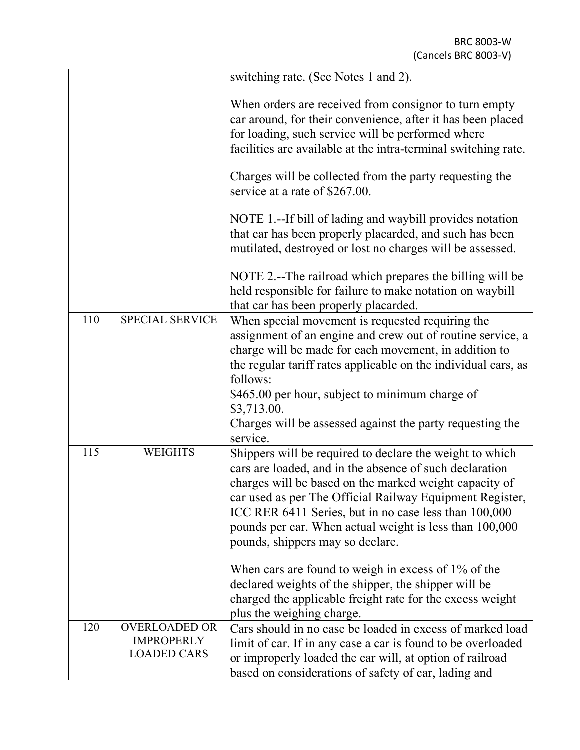|     |                                                                 | switching rate. (See Notes 1 and 2).                                                                                                                                                                                                                                                                                                                                                              |  |  |  |
|-----|-----------------------------------------------------------------|---------------------------------------------------------------------------------------------------------------------------------------------------------------------------------------------------------------------------------------------------------------------------------------------------------------------------------------------------------------------------------------------------|--|--|--|
|     |                                                                 | When orders are received from consignor to turn empty<br>car around, for their convenience, after it has been placed<br>for loading, such service will be performed where<br>facilities are available at the intra-terminal switching rate.                                                                                                                                                       |  |  |  |
|     |                                                                 | Charges will be collected from the party requesting the<br>service at a rate of \$267.00.                                                                                                                                                                                                                                                                                                         |  |  |  |
|     |                                                                 | NOTE 1.--If bill of lading and waybill provides notation<br>that car has been properly placarded, and such has been<br>mutilated, destroyed or lost no charges will be assessed.                                                                                                                                                                                                                  |  |  |  |
|     |                                                                 | NOTE 2.--The railroad which prepares the billing will be<br>held responsible for failure to make notation on waybill<br>that car has been properly placarded.                                                                                                                                                                                                                                     |  |  |  |
| 110 | <b>SPECIAL SERVICE</b>                                          | When special movement is requested requiring the<br>assignment of an engine and crew out of routine service, a<br>charge will be made for each movement, in addition to<br>the regular tariff rates applicable on the individual cars, as<br>follows:                                                                                                                                             |  |  |  |
|     |                                                                 | \$465.00 per hour, subject to minimum charge of<br>\$3,713.00.<br>Charges will be assessed against the party requesting the<br>service.                                                                                                                                                                                                                                                           |  |  |  |
| 115 | <b>WEIGHTS</b>                                                  | Shippers will be required to declare the weight to which<br>cars are loaded, and in the absence of such declaration<br>charges will be based on the marked weight capacity of<br>car used as per The Official Railway Equipment Register,<br>ICC RER 6411 Series, but in no case less than 100,000<br>pounds per car. When actual weight is less than 100,000<br>pounds, shippers may so declare. |  |  |  |
|     |                                                                 | When cars are found to weigh in excess of $1\%$ of the<br>declared weights of the shipper, the shipper will be<br>charged the applicable freight rate for the excess weight<br>plus the weighing charge.                                                                                                                                                                                          |  |  |  |
| 120 | <b>OVERLOADED OR</b><br><b>IMPROPERLY</b><br><b>LOADED CARS</b> | Cars should in no case be loaded in excess of marked load<br>limit of car. If in any case a car is found to be overloaded<br>or improperly loaded the car will, at option of railroad<br>based on considerations of safety of car, lading and                                                                                                                                                     |  |  |  |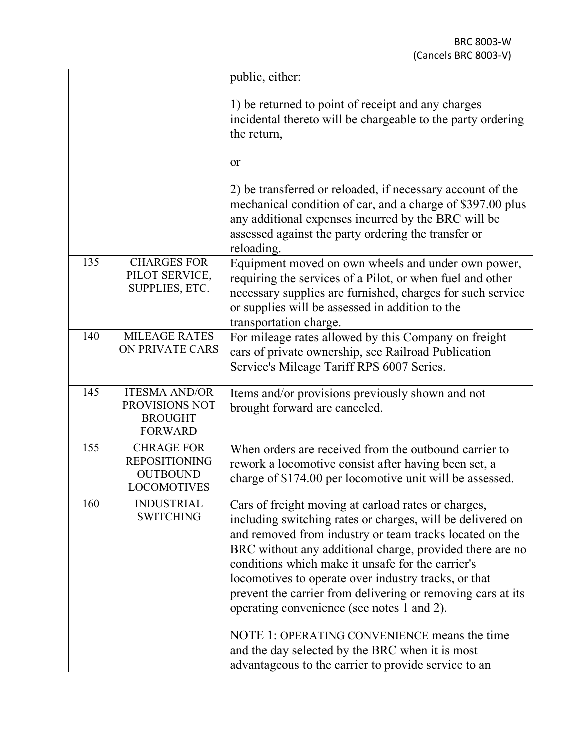|     |                                                                                    | public, either:                                                                                                                                                                                                                                                                                                                                                                                                                                                                                                                                                                                                               |
|-----|------------------------------------------------------------------------------------|-------------------------------------------------------------------------------------------------------------------------------------------------------------------------------------------------------------------------------------------------------------------------------------------------------------------------------------------------------------------------------------------------------------------------------------------------------------------------------------------------------------------------------------------------------------------------------------------------------------------------------|
|     |                                                                                    | 1) be returned to point of receipt and any charges<br>incidental thereto will be chargeable to the party ordering<br>the return,                                                                                                                                                                                                                                                                                                                                                                                                                                                                                              |
|     |                                                                                    | or                                                                                                                                                                                                                                                                                                                                                                                                                                                                                                                                                                                                                            |
|     |                                                                                    | 2) be transferred or reloaded, if necessary account of the<br>mechanical condition of car, and a charge of \$397.00 plus<br>any additional expenses incurred by the BRC will be<br>assessed against the party ordering the transfer or<br>reloading.                                                                                                                                                                                                                                                                                                                                                                          |
| 135 | <b>CHARGES FOR</b><br>PILOT SERVICE,<br>SUPPLIES, ETC.                             | Equipment moved on own wheels and under own power,<br>requiring the services of a Pilot, or when fuel and other<br>necessary supplies are furnished, charges for such service<br>or supplies will be assessed in addition to the<br>transportation charge.                                                                                                                                                                                                                                                                                                                                                                    |
| 140 | <b>MILEAGE RATES</b><br>ON PRIVATE CARS                                            | For mileage rates allowed by this Company on freight<br>cars of private ownership, see Railroad Publication<br>Service's Mileage Tariff RPS 6007 Series.                                                                                                                                                                                                                                                                                                                                                                                                                                                                      |
| 145 | <b>ITESMA AND/OR</b><br>PROVISIONS NOT<br><b>BROUGHT</b><br><b>FORWARD</b>         | Items and/or provisions previously shown and not<br>brought forward are canceled.                                                                                                                                                                                                                                                                                                                                                                                                                                                                                                                                             |
| 155 | <b>CHRAGE FOR</b><br><b>REPOSITIONING</b><br><b>OUTBOUND</b><br><b>LOCOMOTIVES</b> | When orders are received from the outbound carrier to<br>rework a locomotive consist after having been set, a<br>charge of \$174.00 per locomotive unit will be assessed.                                                                                                                                                                                                                                                                                                                                                                                                                                                     |
| 160 | <b>INDUSTRIAL</b><br><b>SWITCHING</b>                                              | Cars of freight moving at carload rates or charges,<br>including switching rates or charges, will be delivered on<br>and removed from industry or team tracks located on the<br>BRC without any additional charge, provided there are no<br>conditions which make it unsafe for the carrier's<br>locomotives to operate over industry tracks, or that<br>prevent the carrier from delivering or removing cars at its<br>operating convenience (see notes 1 and 2).<br>NOTE 1: OPERATING CONVENIENCE means the time<br>and the day selected by the BRC when it is most<br>advantageous to the carrier to provide service to an |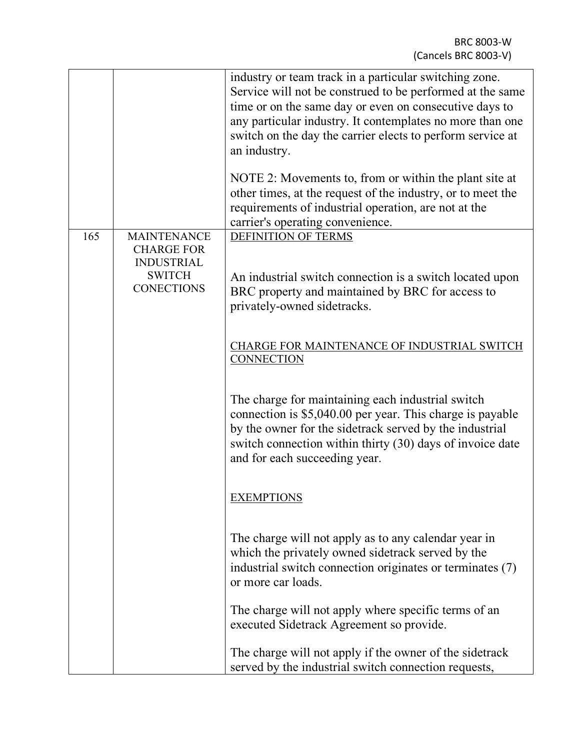|     |                                                         | industry or team track in a particular switching zone.<br>Service will not be construed to be performed at the same<br>time or on the same day or even on consecutive days to<br>any particular industry. It contemplates no more than one<br>switch on the day the carrier elects to perform service at<br>an industry.<br>NOTE 2: Movements to, from or within the plant site at<br>other times, at the request of the industry, or to meet the<br>requirements of industrial operation, are not at the<br>carrier's operating convenience. |
|-----|---------------------------------------------------------|-----------------------------------------------------------------------------------------------------------------------------------------------------------------------------------------------------------------------------------------------------------------------------------------------------------------------------------------------------------------------------------------------------------------------------------------------------------------------------------------------------------------------------------------------|
| 165 | <b>MAINTENANCE</b><br><b>CHARGE FOR</b>                 | DEFINITION OF TERMS                                                                                                                                                                                                                                                                                                                                                                                                                                                                                                                           |
|     | <b>INDUSTRIAL</b><br><b>SWITCH</b><br><b>CONECTIONS</b> | An industrial switch connection is a switch located upon<br>BRC property and maintained by BRC for access to<br>privately-owned sidetracks.                                                                                                                                                                                                                                                                                                                                                                                                   |
|     |                                                         | CHARGE FOR MAINTENANCE OF INDUSTRIAL SWITCH<br><b>CONNECTION</b>                                                                                                                                                                                                                                                                                                                                                                                                                                                                              |
|     |                                                         | The charge for maintaining each industrial switch<br>connection is \$5,040.00 per year. This charge is payable<br>by the owner for the sidetrack served by the industrial<br>switch connection within thirty (30) days of invoice date<br>and for each succeeding year.                                                                                                                                                                                                                                                                       |
|     |                                                         | <b>EXEMPTIONS</b>                                                                                                                                                                                                                                                                                                                                                                                                                                                                                                                             |
|     |                                                         | The charge will not apply as to any calendar year in<br>which the privately owned side track served by the<br>industrial switch connection originates or terminates (7)<br>or more car loads.                                                                                                                                                                                                                                                                                                                                                 |
|     |                                                         | The charge will not apply where specific terms of an<br>executed Sidetrack Agreement so provide.                                                                                                                                                                                                                                                                                                                                                                                                                                              |
|     |                                                         | The charge will not apply if the owner of the sidetrack<br>served by the industrial switch connection requests,                                                                                                                                                                                                                                                                                                                                                                                                                               |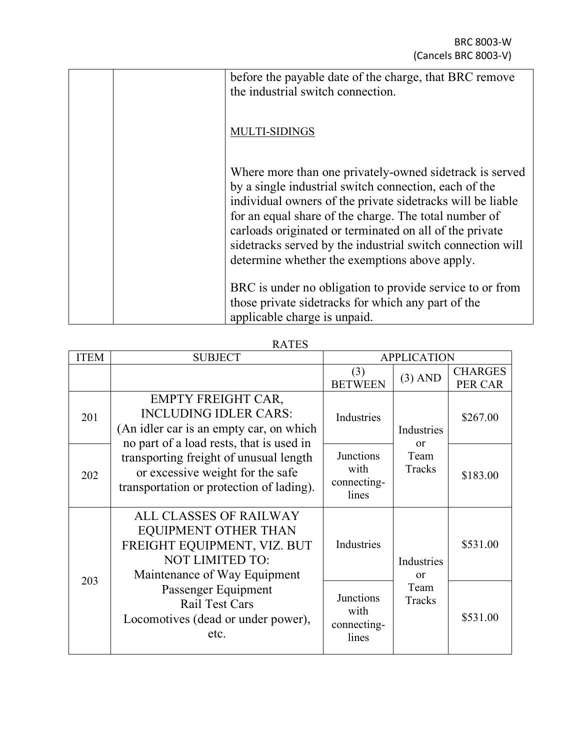| before the payable date of the charge, that BRC remove<br>the industrial switch connection.                                                                                                                                                                                                                                                                                                                        |
|--------------------------------------------------------------------------------------------------------------------------------------------------------------------------------------------------------------------------------------------------------------------------------------------------------------------------------------------------------------------------------------------------------------------|
| <b>MULTI-SIDINGS</b>                                                                                                                                                                                                                                                                                                                                                                                               |
| Where more than one privately-owned sidetrack is served<br>by a single industrial switch connection, each of the<br>individual owners of the private side tracks will be liable<br>for an equal share of the charge. The total number of<br>carloads originated or terminated on all of the private<br>sidetracks served by the industrial switch connection will<br>determine whether the exemptions above apply. |
| BRC is under no obligation to provide service to or from<br>those private side tracks for which any part of the<br>applicable charge is unpaid.                                                                                                                                                                                                                                                                    |

RATES

| <b>ITEM</b> | <b>SUBJECT</b>                                                                                                                                                                                                                                                             | <b>APPLICATION</b>                               |                                          |                                  |
|-------------|----------------------------------------------------------------------------------------------------------------------------------------------------------------------------------------------------------------------------------------------------------------------------|--------------------------------------------------|------------------------------------------|----------------------------------|
|             |                                                                                                                                                                                                                                                                            | (3)<br><b>BETWEEN</b>                            | $(3)$ AND                                | <b>CHARGES</b><br><b>PER CAR</b> |
| 201         | <b>EMPTY FREIGHT CAR,</b><br><b>INCLUDING IDLER CARS:</b><br>(An idler car is an empty car, on which<br>no part of a load rests, that is used in<br>transporting freight of unusual length<br>or excessive weight for the safe<br>transportation or protection of lading). | Industries                                       | Industries<br>$\alpha$<br>Team<br>Tracks | \$267.00                         |
| 202         |                                                                                                                                                                                                                                                                            | <b>Junctions</b><br>with<br>connecting-<br>lines |                                          | \$183.00                         |
|             | ALL CLASSES OF RAILWAY<br><b>EQUIPMENT OTHER THAN</b><br>FREIGHT EQUIPMENT, VIZ. BUT<br><b>NOT LIMITED TO:</b><br>Maintenance of Way Equipment                                                                                                                             | Industries                                       | Industries<br>$\alpha$ r                 | \$531.00                         |
| 203         | Passenger Equipment<br><b>Rail Test Cars</b><br>Locomotives (dead or under power),<br>etc.                                                                                                                                                                                 | <b>Junctions</b><br>with<br>connecting-<br>lines | Team<br>Tracks                           | \$531.00                         |